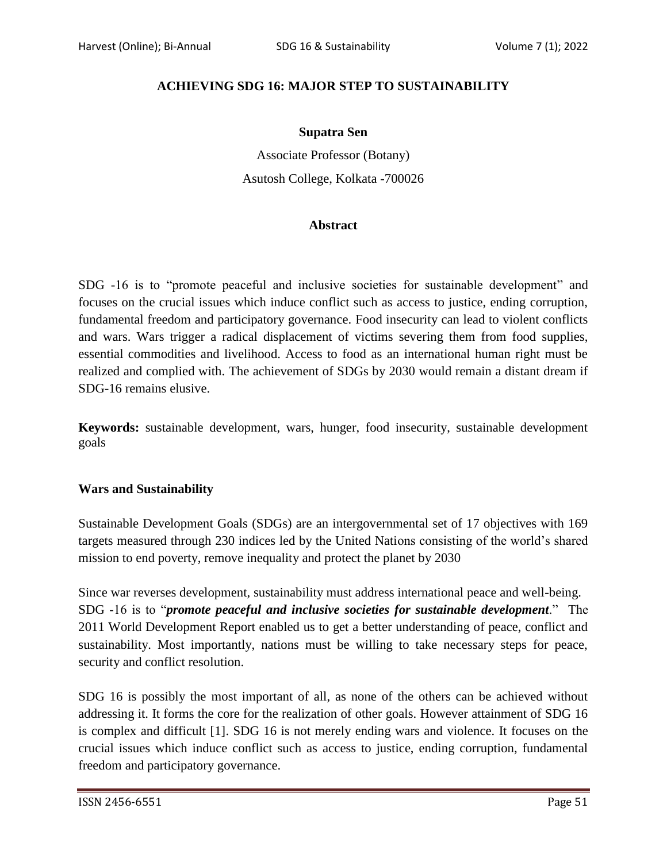# **ACHIEVING SDG 16: MAJOR STEP TO SUSTAINABILITY**

#### **Supatra Sen**

Associate Professor (Botany) Asutosh College, Kolkata -700026

### **Abstract**

SDG -16 is to "promote peaceful and inclusive societies for sustainable development" and focuses on the crucial issues which induce conflict such as access to justice, ending corruption, fundamental freedom and participatory governance. Food insecurity can lead to violent conflicts and wars. Wars trigger a radical displacement of victims severing them from food supplies, essential commodities and livelihood. Access to food as an international human right must be realized and complied with. The achievement of SDGs by 2030 would remain a distant dream if SDG-16 remains elusive.

**Keywords:** sustainable development, wars, hunger, food insecurity, sustainable development goals

### **Wars and Sustainability**

Sustainable Development Goals (SDGs) are an intergovernmental set of 17 objectives with 169 targets measured through 230 indices led by the United Nations consisting of the world"s shared mission to end poverty, remove inequality and protect the planet by 2030

Since war reverses development, sustainability must address international peace and well-being. SDG -16 is to "*promote peaceful and inclusive societies for sustainable development*." The 2011 World Development Report enabled us to get a better understanding of peace, conflict and sustainability. Most importantly, nations must be willing to take necessary steps for peace, security and conflict resolution.

SDG 16 is possibly the most important of all, as none of the others can be achieved without addressing it. It forms the core for the realization of other goals. However attainment of SDG 16 is complex and difficult [1]. SDG 16 is not merely ending wars and violence. It focuses on the crucial issues which induce conflict such as access to justice, ending corruption, fundamental freedom and participatory governance.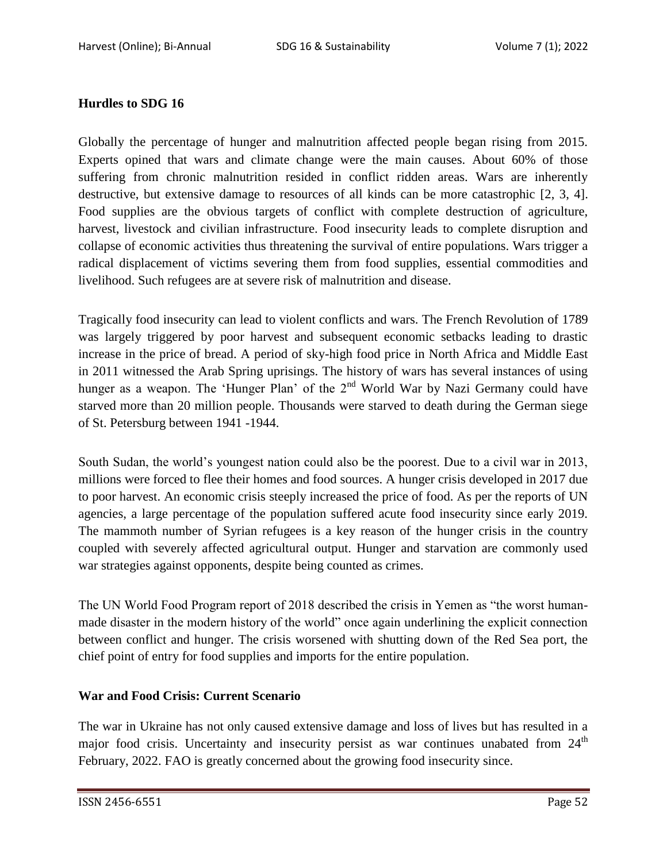## **Hurdles to SDG 16**

Globally the percentage of hunger and malnutrition affected people began rising from 2015. Experts opined that wars and climate change were the main causes. About 60% of those suffering from chronic malnutrition resided in conflict ridden areas. Wars are inherently destructive, but extensive damage to resources of all kinds can be more catastrophic [2, 3, 4]. Food supplies are the obvious targets of conflict with complete destruction of agriculture, harvest, livestock and civilian infrastructure. Food insecurity leads to complete disruption and collapse of economic activities thus threatening the survival of entire populations. Wars trigger a radical displacement of victims severing them from food supplies, essential commodities and livelihood. Such refugees are at severe risk of malnutrition and disease.

Tragically food insecurity can lead to violent conflicts and wars. The French Revolution of 1789 was largely triggered by poor harvest and subsequent economic setbacks leading to drastic increase in the price of bread. A period of sky-high food price in North Africa and Middle East in 2011 witnessed the Arab Spring uprisings. The history of wars has several instances of using hunger as a weapon. The 'Hunger Plan' of the 2<sup>nd</sup> World War by Nazi Germany could have starved more than 20 million people. Thousands were starved to death during the German siege of St. Petersburg between 1941 -1944.

South Sudan, the world"s youngest nation could also be the poorest. Due to a civil war in 2013, millions were forced to flee their homes and food sources. A hunger crisis developed in 2017 due to poor harvest. An economic crisis steeply increased the price of food. As per the reports of UN agencies, a large percentage of the population suffered acute food insecurity since early 2019. The mammoth number of Syrian refugees is a key reason of the hunger crisis in the country coupled with severely affected agricultural output. Hunger and starvation are commonly used war strategies against opponents, despite being counted as crimes.

The UN World Food Program report of 2018 described the crisis in Yemen as "the worst humanmade disaster in the modern history of the world" once again underlining the explicit connection between conflict and hunger. The crisis worsened with shutting down of the Red Sea port, the chief point of entry for food supplies and imports for the entire population.

### **War and Food Crisis: Current Scenario**

The war in Ukraine has not only caused extensive damage and loss of lives but has resulted in a major food crisis. Uncertainty and insecurity persist as war continues unabated from  $24<sup>th</sup>$ February, 2022. FAO is greatly concerned about the growing food insecurity since.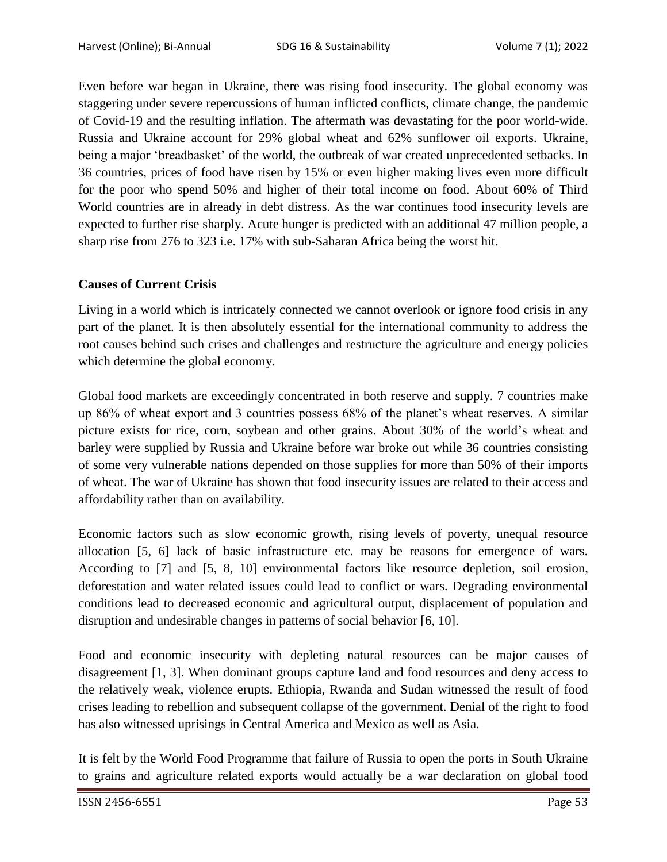Even before war began in Ukraine, there was rising food insecurity. The global economy was staggering under severe repercussions of human inflicted conflicts, climate change, the pandemic of Covid-19 and the resulting inflation. The aftermath was devastating for the poor world-wide. Russia and Ukraine account for 29% global wheat and 62% sunflower oil exports. Ukraine, being a major 'breadbasket' of the world, the outbreak of war created unprecedented setbacks. In 36 countries, prices of food have risen by 15% or even higher making lives even more difficult for the poor who spend 50% and higher of their total income on food. About 60% of Third World countries are in already in debt distress. As the war continues food insecurity levels are expected to further rise sharply. Acute hunger is predicted with an additional 47 million people, a sharp rise from 276 to 323 i.e. 17% with sub-Saharan Africa being the worst hit.

### **Causes of Current Crisis**

Living in a world which is intricately connected we cannot overlook or ignore food crisis in any part of the planet. It is then absolutely essential for the international community to address the root causes behind such crises and challenges and restructure the agriculture and energy policies which determine the global economy.

Global food markets are exceedingly concentrated in both reserve and supply. 7 countries make up 86% of wheat export and 3 countries possess 68% of the planet"s wheat reserves. A similar picture exists for rice, corn, soybean and other grains. About 30% of the world"s wheat and barley were supplied by Russia and Ukraine before war broke out while 36 countries consisting of some very vulnerable nations depended on those supplies for more than 50% of their imports of wheat. The war of Ukraine has shown that food insecurity issues are related to their access and affordability rather than on availability.

Economic factors such as slow economic growth, rising levels of poverty, unequal resource allocation [5, 6] lack of basic infrastructure etc. may be reasons for emergence of wars. According to [7] and [5, 8, 10] environmental factors like resource depletion, soil erosion, deforestation and water related issues could lead to conflict or wars. Degrading environmental conditions lead to decreased economic and agricultural output, displacement of population and disruption and undesirable changes in patterns of social behavior [6, 10].

Food and economic insecurity with depleting natural resources can be major causes of disagreement [1, 3]. When dominant groups capture land and food resources and deny access to the relatively weak, violence erupts. Ethiopia, Rwanda and Sudan witnessed the result of food crises leading to rebellion and subsequent collapse of the government. Denial of the right to food has also witnessed uprisings in Central America and Mexico as well as Asia.

It is felt by the World Food Programme that failure of Russia to open the ports in South Ukraine to grains and agriculture related exports would actually be a war declaration on global food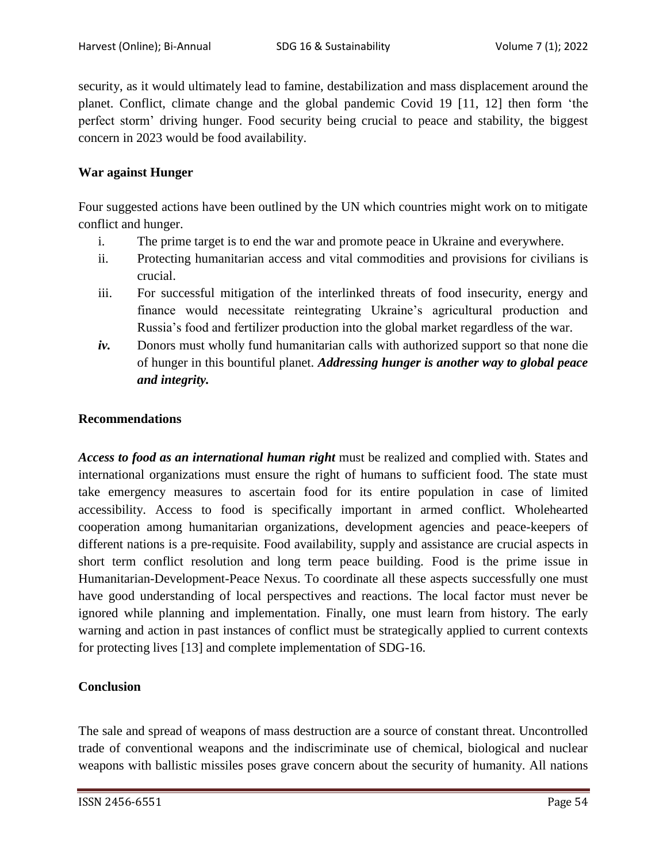security, as it would ultimately lead to famine, destabilization and mass displacement around the planet. Conflict, climate change and the global pandemic Covid 19 [11, 12] then form "the perfect storm" driving hunger. Food security being crucial to peace and stability, the biggest concern in 2023 would be food availability.

# **War against Hunger**

Four suggested actions have been outlined by the UN which countries might work on to mitigate conflict and hunger.

- i. The prime target is to end the war and promote peace in Ukraine and everywhere.
- ii. Protecting humanitarian access and vital commodities and provisions for civilians is crucial.
- iii. For successful mitigation of the interlinked threats of food insecurity, energy and finance would necessitate reintegrating Ukraine's agricultural production and Russia"s food and fertilizer production into the global market regardless of the war.
- *iv.* Donors must wholly fund humanitarian calls with authorized support so that none die of hunger in this bountiful planet. *Addressing hunger is another way to global peace and integrity.*

### **Recommendations**

*Access to food as an international human right* must be realized and complied with. States and international organizations must ensure the right of humans to sufficient food. The state must take emergency measures to ascertain food for its entire population in case of limited accessibility. Access to food is specifically important in armed conflict. Wholehearted cooperation among humanitarian organizations, development agencies and peace-keepers of different nations is a pre-requisite. Food availability, supply and assistance are crucial aspects in short term conflict resolution and long term peace building. Food is the prime issue in Humanitarian-Development-Peace Nexus. To coordinate all these aspects successfully one must have good understanding of local perspectives and reactions. The local factor must never be ignored while planning and implementation. Finally, one must learn from history. The early warning and action in past instances of conflict must be strategically applied to current contexts for protecting lives [13] and complete implementation of SDG-16.

### **Conclusion**

The sale and spread of weapons of mass destruction are a source of constant threat. Uncontrolled trade of conventional weapons and the indiscriminate use of chemical, biological and nuclear weapons with ballistic missiles poses grave concern about the security of humanity. All nations